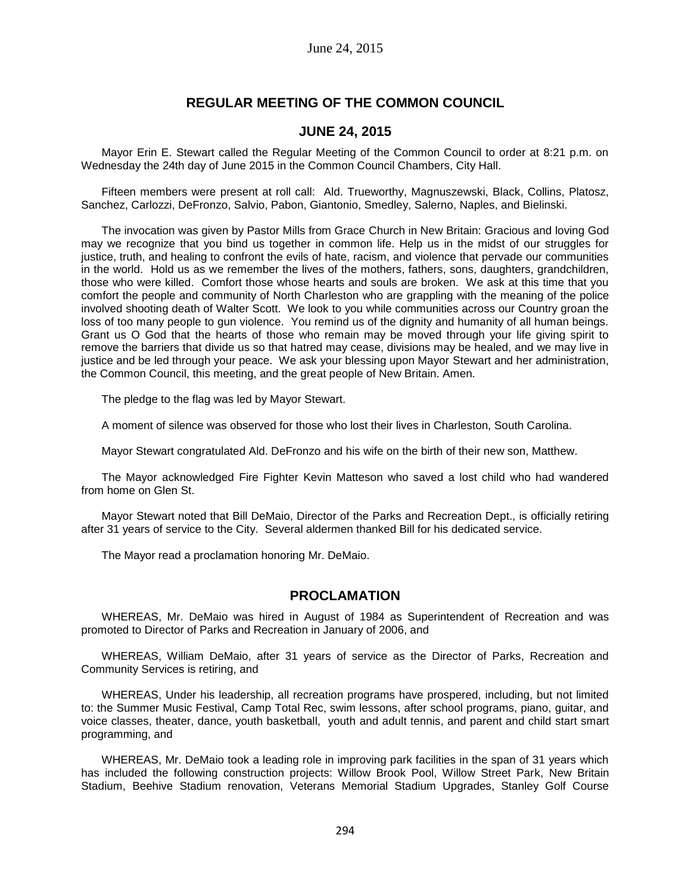# **REGULAR MEETING OF THE COMMON COUNCIL**

## **JUNE 24, 2015**

Mayor Erin E. Stewart called the Regular Meeting of the Common Council to order at 8:21 p.m. on Wednesday the 24th day of June 2015 in the Common Council Chambers, City Hall.

Fifteen members were present at roll call: Ald. Trueworthy, Magnuszewski, Black, Collins, Platosz, Sanchez, Carlozzi, DeFronzo, Salvio, Pabon, Giantonio, Smedley, Salerno, Naples, and Bielinski.

The invocation was given by Pastor Mills from Grace Church in New Britain: Gracious and loving God may we recognize that you bind us together in common life. Help us in the midst of our struggles for justice, truth, and healing to confront the evils of hate, racism, and violence that pervade our communities in the world. Hold us as we remember the lives of the mothers, fathers, sons, daughters, grandchildren, those who were killed. Comfort those whose hearts and souls are broken. We ask at this time that you comfort the people and community of North Charleston who are grappling with the meaning of the police involved shooting death of Walter Scott. We look to you while communities across our Country groan the loss of too many people to gun violence. You remind us of the dignity and humanity of all human beings. Grant us O God that the hearts of those who remain may be moved through your life giving spirit to remove the barriers that divide us so that hatred may cease, divisions may be healed, and we may live in justice and be led through your peace. We ask your blessing upon Mayor Stewart and her administration, the Common Council, this meeting, and the great people of New Britain. Amen.

The pledge to the flag was led by Mayor Stewart.

A moment of silence was observed for those who lost their lives in Charleston, South Carolina.

Mayor Stewart congratulated Ald. DeFronzo and his wife on the birth of their new son, Matthew.

The Mayor acknowledged Fire Fighter Kevin Matteson who saved a lost child who had wandered from home on Glen St.

Mayor Stewart noted that Bill DeMaio, Director of the Parks and Recreation Dept., is officially retiring after 31 years of service to the City. Several aldermen thanked Bill for his dedicated service.

The Mayor read a proclamation honoring Mr. DeMaio.

## **PROCLAMATION**

WHEREAS, Mr. DeMaio was hired in August of 1984 as Superintendent of Recreation and was promoted to Director of Parks and Recreation in January of 2006, and

WHEREAS, William DeMaio, after 31 years of service as the Director of Parks, Recreation and Community Services is retiring, and

WHEREAS, Under his leadership, all recreation programs have prospered, including, but not limited to: the Summer Music Festival, Camp Total Rec, swim lessons, after school programs, piano, guitar, and voice classes, theater, dance, youth basketball, youth and adult tennis, and parent and child start smart programming, and

WHEREAS, Mr. DeMaio took a leading role in improving park facilities in the span of 31 years which has included the following construction projects: Willow Brook Pool, Willow Street Park, New Britain Stadium, Beehive Stadium renovation, Veterans Memorial Stadium Upgrades, Stanley Golf Course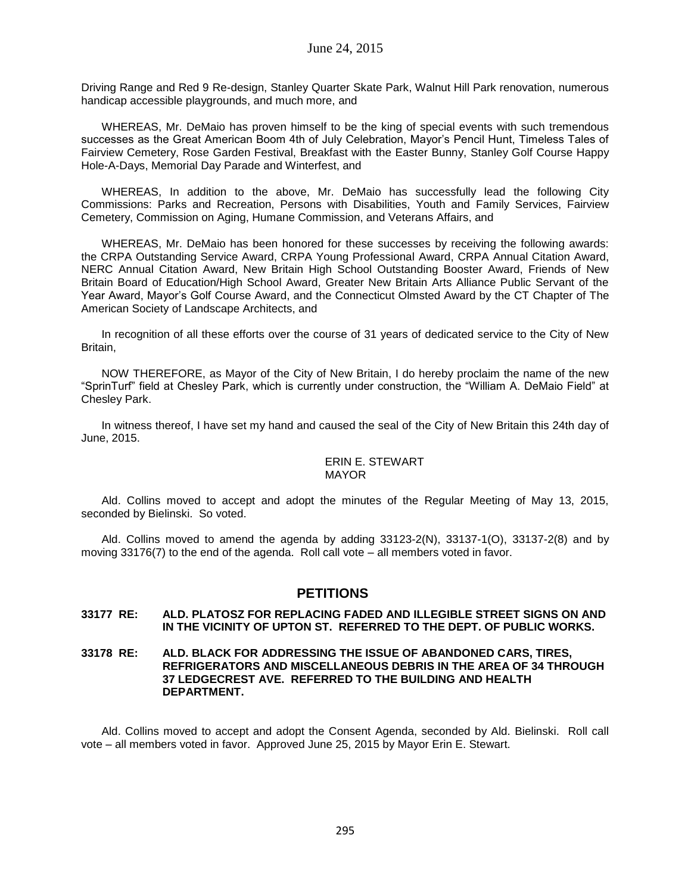Driving Range and Red 9 Re-design, Stanley Quarter Skate Park, Walnut Hill Park renovation, numerous handicap accessible playgrounds, and much more, and

WHEREAS, Mr. DeMaio has proven himself to be the king of special events with such tremendous successes as the Great American Boom 4th of July Celebration, Mayor's Pencil Hunt, Timeless Tales of Fairview Cemetery, Rose Garden Festival, Breakfast with the Easter Bunny, Stanley Golf Course Happy Hole-A-Days, Memorial Day Parade and Winterfest, and

WHEREAS, In addition to the above, Mr. DeMaio has successfully lead the following City Commissions: Parks and Recreation, Persons with Disabilities, Youth and Family Services, Fairview Cemetery, Commission on Aging, Humane Commission, and Veterans Affairs, and

WHEREAS, Mr. DeMaio has been honored for these successes by receiving the following awards: the CRPA Outstanding Service Award, CRPA Young Professional Award, CRPA Annual Citation Award, NERC Annual Citation Award, New Britain High School Outstanding Booster Award, Friends of New Britain Board of Education/High School Award, Greater New Britain Arts Alliance Public Servant of the Year Award, Mayor's Golf Course Award, and the Connecticut Olmsted Award by the CT Chapter of The American Society of Landscape Architects, and

In recognition of all these efforts over the course of 31 years of dedicated service to the City of New Britain,

NOW THEREFORE, as Mayor of the City of New Britain, I do hereby proclaim the name of the new "SprinTurf" field at Chesley Park, which is currently under construction, the "William A. DeMaio Field" at Chesley Park.

In witness thereof, I have set my hand and caused the seal of the City of New Britain this 24th day of June, 2015.

#### ERIN E. STEWART MAYOR

Ald. Collins moved to accept and adopt the minutes of the Regular Meeting of May 13, 2015, seconded by Bielinski. So voted.

Ald. Collins moved to amend the agenda by adding  $33123-2(N)$ ,  $33137-1(O)$ ,  $33137-2(B)$  and by moving 33176(7) to the end of the agenda. Roll call vote – all members voted in favor.

## **PETITIONS**

#### **33177 RE: ALD. PLATOSZ FOR REPLACING FADED AND ILLEGIBLE STREET SIGNS ON AND IN THE VICINITY OF UPTON ST. REFERRED TO THE DEPT. OF PUBLIC WORKS.**

#### **33178 RE: ALD. BLACK FOR ADDRESSING THE ISSUE OF ABANDONED CARS, TIRES, REFRIGERATORS AND MISCELLANEOUS DEBRIS IN THE AREA OF 34 THROUGH 37 LEDGECREST AVE. REFERRED TO THE BUILDING AND HEALTH DEPARTMENT.**

Ald. Collins moved to accept and adopt the Consent Agenda, seconded by Ald. Bielinski. Roll call vote – all members voted in favor. Approved June 25, 2015 by Mayor Erin E. Stewart.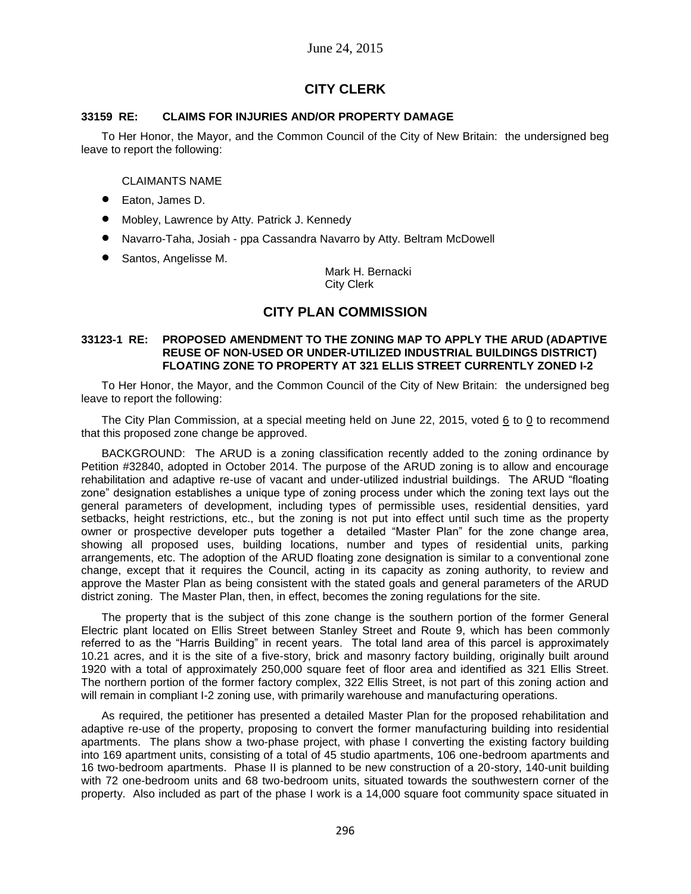# **CITY CLERK**

### **33159 RE: CLAIMS FOR INJURIES AND/OR PROPERTY DAMAGE**

To Her Honor, the Mayor, and the Common Council of the City of New Britain: the undersigned beg leave to report the following:

### CLAIMANTS NAME

- Eaton, James D.
- Mobley, Lawrence by Atty. Patrick J. Kennedy
- Navarro-Taha, Josiah ppa Cassandra Navarro by Atty. Beltram McDowell
- Santos, Angelisse M.

Mark H. Bernacki City Clerk

## **CITY PLAN COMMISSION**

#### **33123-1 RE: PROPOSED AMENDMENT TO THE ZONING MAP TO APPLY THE ARUD (ADAPTIVE REUSE OF NON-USED OR UNDER-UTILIZED INDUSTRIAL BUILDINGS DISTRICT) FLOATING ZONE TO PROPERTY AT 321 ELLIS STREET CURRENTLY ZONED I-2**

To Her Honor, the Mayor, and the Common Council of the City of New Britain: the undersigned beg leave to report the following:

The City Plan Commission, at a special meeting held on June 22, 2015, voted 6 to 0 to recommend that this proposed zone change be approved.

BACKGROUND: The ARUD is a zoning classification recently added to the zoning ordinance by Petition #32840, adopted in October 2014. The purpose of the ARUD zoning is to allow and encourage rehabilitation and adaptive re-use of vacant and under-utilized industrial buildings. The ARUD "floating zone" designation establishes a unique type of zoning process under which the zoning text lays out the general parameters of development, including types of permissible uses, residential densities, yard setbacks, height restrictions, etc., but the zoning is not put into effect until such time as the property owner or prospective developer puts together a detailed "Master Plan" for the zone change area, showing all proposed uses, building locations, number and types of residential units, parking arrangements, etc. The adoption of the ARUD floating zone designation is similar to a conventional zone change, except that it requires the Council, acting in its capacity as zoning authority, to review and approve the Master Plan as being consistent with the stated goals and general parameters of the ARUD district zoning. The Master Plan, then, in effect, becomes the zoning regulations for the site.

The property that is the subject of this zone change is the southern portion of the former General Electric plant located on Ellis Street between Stanley Street and Route 9, which has been commonly referred to as the "Harris Building" in recent years. The total land area of this parcel is approximately 10.21 acres, and it is the site of a five-story, brick and masonry factory building, originally built around 1920 with a total of approximately 250,000 square feet of floor area and identified as 321 Ellis Street. The northern portion of the former factory complex, 322 Ellis Street, is not part of this zoning action and will remain in compliant I-2 zoning use, with primarily warehouse and manufacturing operations.

As required, the petitioner has presented a detailed Master Plan for the proposed rehabilitation and adaptive re-use of the property, proposing to convert the former manufacturing building into residential apartments. The plans show a two-phase project, with phase I converting the existing factory building into 169 apartment units, consisting of a total of 45 studio apartments, 106 one-bedroom apartments and 16 two-bedroom apartments. Phase II is planned to be new construction of a 20-story, 140-unit building with 72 one-bedroom units and 68 two-bedroom units, situated towards the southwestern corner of the property. Also included as part of the phase I work is a 14,000 square foot community space situated in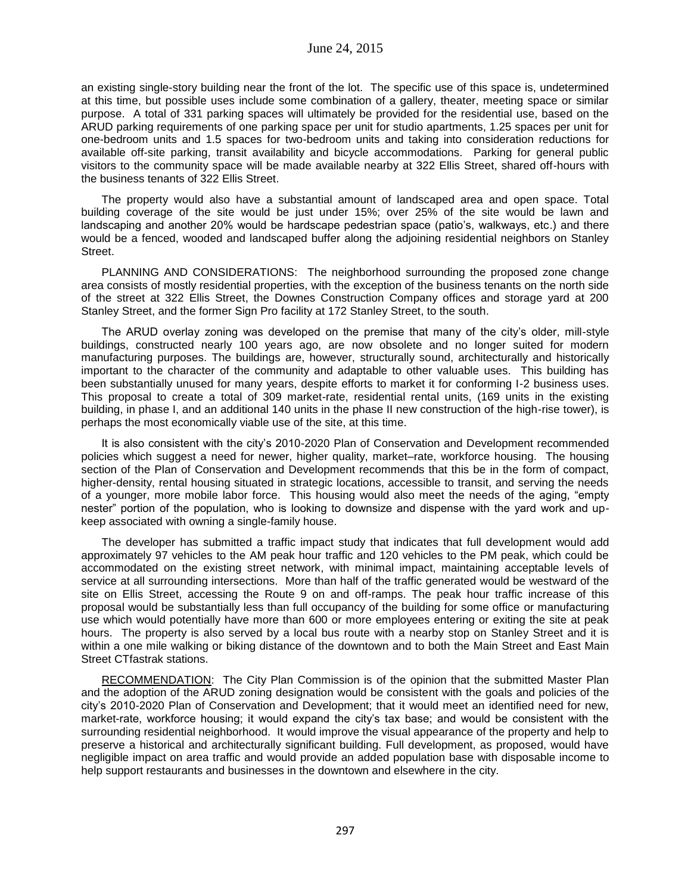an existing single-story building near the front of the lot. The specific use of this space is, undetermined at this time, but possible uses include some combination of a gallery, theater, meeting space or similar purpose. A total of 331 parking spaces will ultimately be provided for the residential use, based on the ARUD parking requirements of one parking space per unit for studio apartments, 1.25 spaces per unit for one-bedroom units and 1.5 spaces for two-bedroom units and taking into consideration reductions for available off-site parking, transit availability and bicycle accommodations. Parking for general public visitors to the community space will be made available nearby at 322 Ellis Street, shared off-hours with the business tenants of 322 Ellis Street.

The property would also have a substantial amount of landscaped area and open space. Total building coverage of the site would be just under 15%; over 25% of the site would be lawn and landscaping and another 20% would be hardscape pedestrian space (patio's, walkways, etc.) and there would be a fenced, wooded and landscaped buffer along the adjoining residential neighbors on Stanley Street.

PLANNING AND CONSIDERATIONS: The neighborhood surrounding the proposed zone change area consists of mostly residential properties, with the exception of the business tenants on the north side of the street at 322 Ellis Street, the Downes Construction Company offices and storage yard at 200 Stanley Street, and the former Sign Pro facility at 172 Stanley Street, to the south.

The ARUD overlay zoning was developed on the premise that many of the city's older, mill-style buildings, constructed nearly 100 years ago, are now obsolete and no longer suited for modern manufacturing purposes. The buildings are, however, structurally sound, architecturally and historically important to the character of the community and adaptable to other valuable uses. This building has been substantially unused for many years, despite efforts to market it for conforming I-2 business uses. This proposal to create a total of 309 market-rate, residential rental units, (169 units in the existing building, in phase I, and an additional 140 units in the phase II new construction of the high-rise tower), is perhaps the most economically viable use of the site, at this time.

It is also consistent with the city's 2010-2020 Plan of Conservation and Development recommended policies which suggest a need for newer, higher quality, market–rate, workforce housing. The housing section of the Plan of Conservation and Development recommends that this be in the form of compact, higher-density, rental housing situated in strategic locations, accessible to transit, and serving the needs of a younger, more mobile labor force. This housing would also meet the needs of the aging, "empty nester" portion of the population, who is looking to downsize and dispense with the yard work and upkeep associated with owning a single-family house.

The developer has submitted a traffic impact study that indicates that full development would add approximately 97 vehicles to the AM peak hour traffic and 120 vehicles to the PM peak, which could be accommodated on the existing street network, with minimal impact, maintaining acceptable levels of service at all surrounding intersections. More than half of the traffic generated would be westward of the site on Ellis Street, accessing the Route 9 on and off-ramps. The peak hour traffic increase of this proposal would be substantially less than full occupancy of the building for some office or manufacturing use which would potentially have more than 600 or more employees entering or exiting the site at peak hours. The property is also served by a local bus route with a nearby stop on Stanley Street and it is within a one mile walking or biking distance of the downtown and to both the Main Street and East Main Street CTfastrak stations.

RECOMMENDATION: The City Plan Commission is of the opinion that the submitted Master Plan and the adoption of the ARUD zoning designation would be consistent with the goals and policies of the city's 2010-2020 Plan of Conservation and Development; that it would meet an identified need for new, market-rate, workforce housing; it would expand the city's tax base; and would be consistent with the surrounding residential neighborhood. It would improve the visual appearance of the property and help to preserve a historical and architecturally significant building. Full development, as proposed, would have negligible impact on area traffic and would provide an added population base with disposable income to help support restaurants and businesses in the downtown and elsewhere in the city.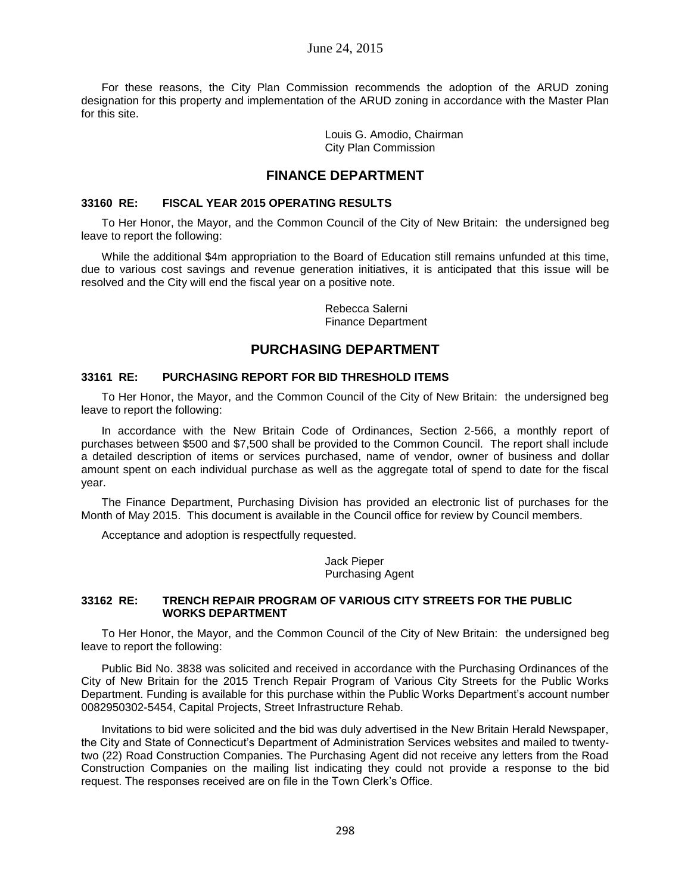### June 24, 2015

For these reasons, the City Plan Commission recommends the adoption of the ARUD zoning designation for this property and implementation of the ARUD zoning in accordance with the Master Plan for this site.

> Louis G. Amodio, Chairman City Plan Commission

# **FINANCE DEPARTMENT**

#### **33160 RE: FISCAL YEAR 2015 OPERATING RESULTS**

To Her Honor, the Mayor, and the Common Council of the City of New Britain: the undersigned beg leave to report the following:

While the additional \$4m appropriation to the Board of Education still remains unfunded at this time, due to various cost savings and revenue generation initiatives, it is anticipated that this issue will be resolved and the City will end the fiscal year on a positive note.

> Rebecca Salerni Finance Department

## **PURCHASING DEPARTMENT**

#### **33161 RE: PURCHASING REPORT FOR BID THRESHOLD ITEMS**

To Her Honor, the Mayor, and the Common Council of the City of New Britain: the undersigned beg leave to report the following:

In accordance with the New Britain Code of Ordinances, Section 2-566, a monthly report of purchases between \$500 and \$7,500 shall be provided to the Common Council. The report shall include a detailed description of items or services purchased, name of vendor, owner of business and dollar amount spent on each individual purchase as well as the aggregate total of spend to date for the fiscal year.

The Finance Department, Purchasing Division has provided an electronic list of purchases for the Month of May 2015. This document is available in the Council office for review by Council members.

Acceptance and adoption is respectfully requested.

Jack Pieper Purchasing Agent

#### **33162 RE: TRENCH REPAIR PROGRAM OF VARIOUS CITY STREETS FOR THE PUBLIC WORKS DEPARTMENT**

To Her Honor, the Mayor, and the Common Council of the City of New Britain: the undersigned beg leave to report the following:

Public Bid No. 3838 was solicited and received in accordance with the Purchasing Ordinances of the City of New Britain for the 2015 Trench Repair Program of Various City Streets for the Public Works Department. Funding is available for this purchase within the Public Works Department's account number 0082950302-5454, Capital Projects, Street Infrastructure Rehab.

Invitations to bid were solicited and the bid was duly advertised in the New Britain Herald Newspaper, the City and State of Connecticut's Department of Administration Services websites and mailed to twentytwo (22) Road Construction Companies. The Purchasing Agent did not receive any letters from the Road Construction Companies on the mailing list indicating they could not provide a response to the bid request. The responses received are on file in the Town Clerk's Office.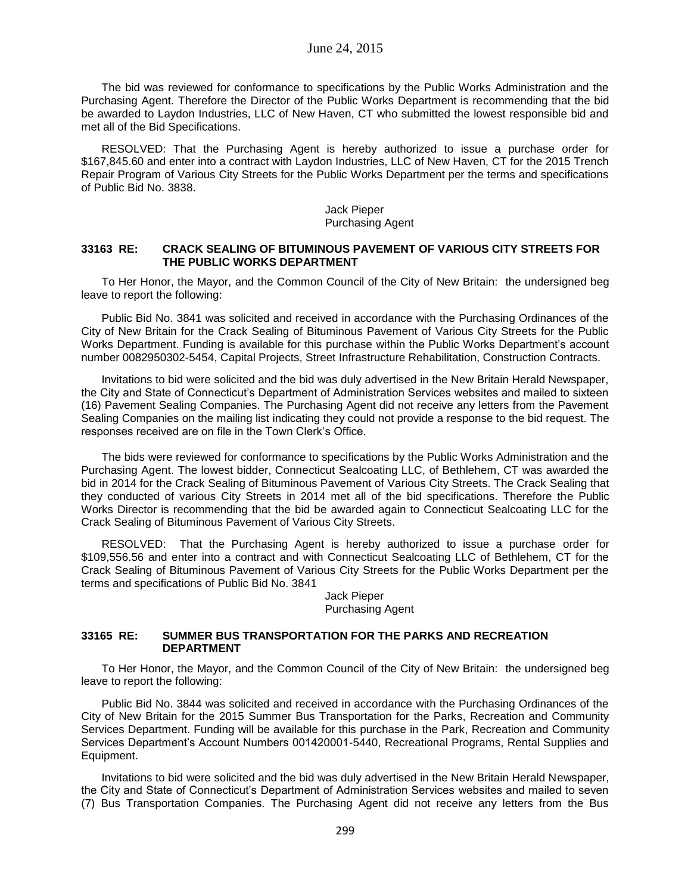The bid was reviewed for conformance to specifications by the Public Works Administration and the Purchasing Agent. Therefore the Director of the Public Works Department is recommending that the bid be awarded to Laydon Industries, LLC of New Haven, CT who submitted the lowest responsible bid and met all of the Bid Specifications.

RESOLVED: That the Purchasing Agent is hereby authorized to issue a purchase order for \$167,845.60 and enter into a contract with Laydon Industries, LLC of New Haven, CT for the 2015 Trench Repair Program of Various City Streets for the Public Works Department per the terms and specifications of Public Bid No. 3838.

#### Jack Pieper Purchasing Agent

#### **33163 RE: CRACK SEALING OF BITUMINOUS PAVEMENT OF VARIOUS CITY STREETS FOR THE PUBLIC WORKS DEPARTMENT**

To Her Honor, the Mayor, and the Common Council of the City of New Britain: the undersigned beg leave to report the following:

Public Bid No. 3841 was solicited and received in accordance with the Purchasing Ordinances of the City of New Britain for the Crack Sealing of Bituminous Pavement of Various City Streets for the Public Works Department. Funding is available for this purchase within the Public Works Department's account number 0082950302-5454, Capital Projects, Street Infrastructure Rehabilitation, Construction Contracts.

Invitations to bid were solicited and the bid was duly advertised in the New Britain Herald Newspaper, the City and State of Connecticut's Department of Administration Services websites and mailed to sixteen (16) Pavement Sealing Companies. The Purchasing Agent did not receive any letters from the Pavement Sealing Companies on the mailing list indicating they could not provide a response to the bid request. The responses received are on file in the Town Clerk's Office.

The bids were reviewed for conformance to specifications by the Public Works Administration and the Purchasing Agent. The lowest bidder, Connecticut Sealcoating LLC, of Bethlehem, CT was awarded the bid in 2014 for the Crack Sealing of Bituminous Pavement of Various City Streets. The Crack Sealing that they conducted of various City Streets in 2014 met all of the bid specifications. Therefore the Public Works Director is recommending that the bid be awarded again to Connecticut Sealcoating LLC for the Crack Sealing of Bituminous Pavement of Various City Streets.

RESOLVED: That the Purchasing Agent is hereby authorized to issue a purchase order for \$109,556.56 and enter into a contract and with Connecticut Sealcoating LLC of Bethlehem, CT for the Crack Sealing of Bituminous Pavement of Various City Streets for the Public Works Department per the terms and specifications of Public Bid No. 3841

#### Jack Pieper Purchasing Agent

#### **33165 RE: SUMMER BUS TRANSPORTATION FOR THE PARKS AND RECREATION DEPARTMENT**

To Her Honor, the Mayor, and the Common Council of the City of New Britain: the undersigned beg leave to report the following:

Public Bid No. 3844 was solicited and received in accordance with the Purchasing Ordinances of the City of New Britain for the 2015 Summer Bus Transportation for the Parks, Recreation and Community Services Department. Funding will be available for this purchase in the Park, Recreation and Community Services Department's Account Numbers 001420001-5440, Recreational Programs, Rental Supplies and Equipment.

Invitations to bid were solicited and the bid was duly advertised in the New Britain Herald Newspaper, the City and State of Connecticut's Department of Administration Services websites and mailed to seven (7) Bus Transportation Companies. The Purchasing Agent did not receive any letters from the Bus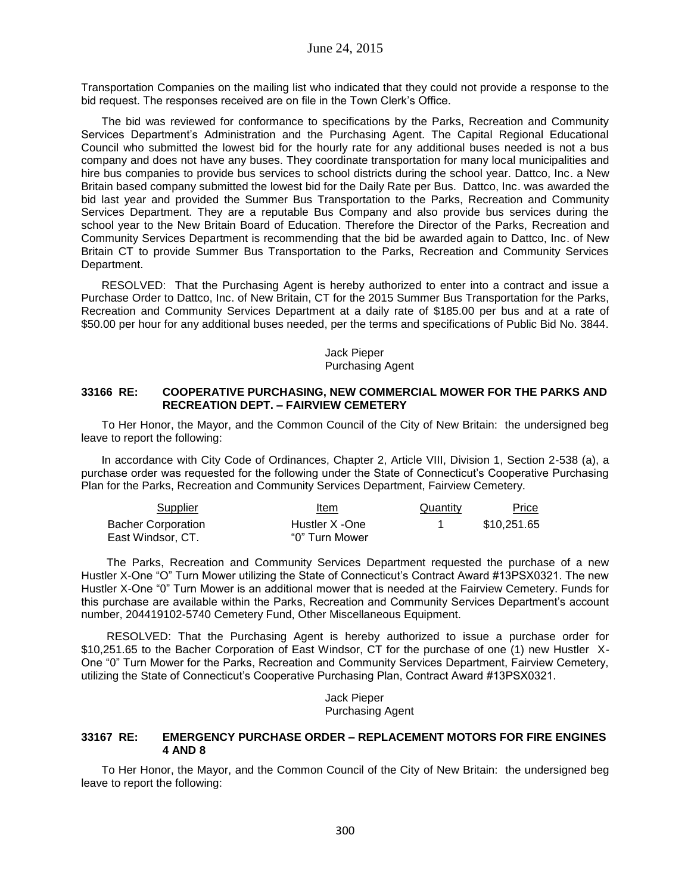Transportation Companies on the mailing list who indicated that they could not provide a response to the bid request. The responses received are on file in the Town Clerk's Office.

The bid was reviewed for conformance to specifications by the Parks, Recreation and Community Services Department's Administration and the Purchasing Agent. The Capital Regional Educational Council who submitted the lowest bid for the hourly rate for any additional buses needed is not a bus company and does not have any buses. They coordinate transportation for many local municipalities and hire bus companies to provide bus services to school districts during the school year. Dattco, Inc. a New Britain based company submitted the lowest bid for the Daily Rate per Bus. Dattco, Inc. was awarded the bid last year and provided the Summer Bus Transportation to the Parks, Recreation and Community Services Department. They are a reputable Bus Company and also provide bus services during the school year to the New Britain Board of Education. Therefore the Director of the Parks, Recreation and Community Services Department is recommending that the bid be awarded again to Dattco, Inc. of New Britain CT to provide Summer Bus Transportation to the Parks, Recreation and Community Services Department.

RESOLVED: That the Purchasing Agent is hereby authorized to enter into a contract and issue a Purchase Order to Dattco, Inc. of New Britain, CT for the 2015 Summer Bus Transportation for the Parks, Recreation and Community Services Department at a daily rate of \$185.00 per bus and at a rate of \$50.00 per hour for any additional buses needed, per the terms and specifications of Public Bid No. 3844.

#### Jack Pieper Purchasing Agent

#### **33166 RE: COOPERATIVE PURCHASING, NEW COMMERCIAL MOWER FOR THE PARKS AND RECREATION DEPT. – FAIRVIEW CEMETERY**

To Her Honor, the Mayor, and the Common Council of the City of New Britain: the undersigned beg leave to report the following:

In accordance with City Code of Ordinances, Chapter 2, Article VIII, Division 1, Section 2-538 (a), a purchase order was requested for the following under the State of Connecticut's Cooperative Purchasing Plan for the Parks, Recreation and Community Services Department, Fairview Cemetery.

| Supplier                  | Item           | Quantity | Price       |
|---------------------------|----------------|----------|-------------|
| <b>Bacher Corporation</b> | Hustler X -One |          | \$10.251.65 |
| East Windsor, CT.         | "0" Turn Mower |          |             |

The Parks, Recreation and Community Services Department requested the purchase of a new Hustler X-One "O" Turn Mower utilizing the State of Connecticut's Contract Award #13PSX0321. The new Hustler X-One "0" Turn Mower is an additional mower that is needed at the Fairview Cemetery. Funds for this purchase are available within the Parks, Recreation and Community Services Department's account number, 204419102-5740 Cemetery Fund, Other Miscellaneous Equipment.

RESOLVED: That the Purchasing Agent is hereby authorized to issue a purchase order for \$10,251.65 to the Bacher Corporation of East Windsor, CT for the purchase of one (1) new Hustler X-One "0" Turn Mower for the Parks, Recreation and Community Services Department, Fairview Cemetery, utilizing the State of Connecticut's Cooperative Purchasing Plan, Contract Award #13PSX0321.

> Jack Pieper Purchasing Agent

#### **33167 RE: EMERGENCY PURCHASE ORDER – REPLACEMENT MOTORS FOR FIRE ENGINES 4 AND 8**

To Her Honor, the Mayor, and the Common Council of the City of New Britain: the undersigned beg leave to report the following: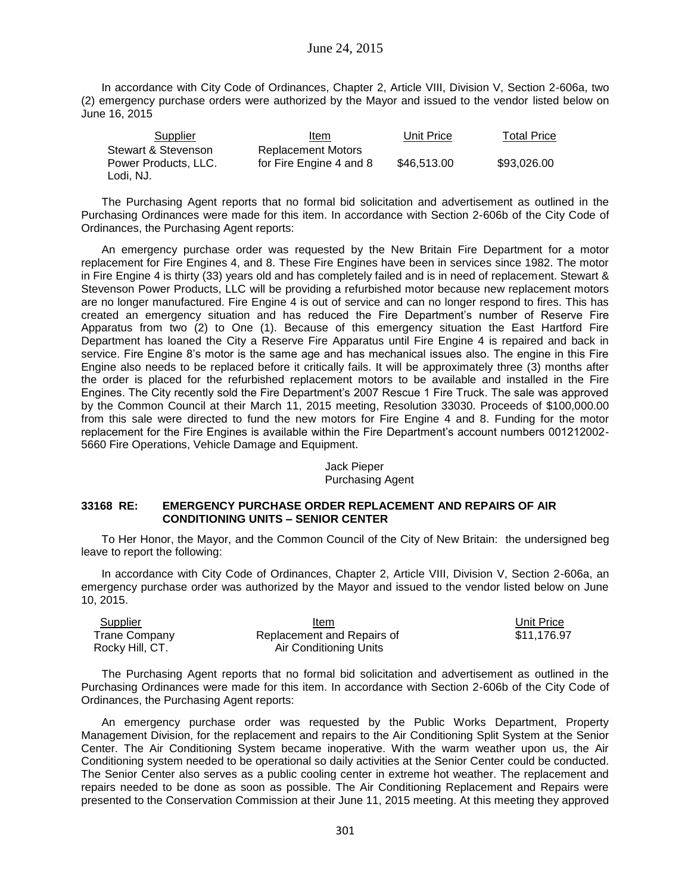## June 24, 2015

In accordance with City Code of Ordinances, Chapter 2, Article VIII, Division V, Section 2-606a, two (2) emergency purchase orders were authorized by the Mayor and issued to the vendor listed below on June 16, 2015

| Supplier             | Item                      | Unit Price  | <b>Total Price</b> |
|----------------------|---------------------------|-------------|--------------------|
| Stewart & Stevenson  | <b>Replacement Motors</b> |             |                    |
| Power Products, LLC. | for Fire Engine 4 and 8   | \$46,513,00 | \$93,026.00        |
| Lodi, NJ.            |                           |             |                    |

The Purchasing Agent reports that no formal bid solicitation and advertisement as outlined in the Purchasing Ordinances were made for this item. In accordance with Section 2-606b of the City Code of Ordinances, the Purchasing Agent reports:

An emergency purchase order was requested by the New Britain Fire Department for a motor replacement for Fire Engines 4, and 8. These Fire Engines have been in services since 1982. The motor in Fire Engine 4 is thirty (33) years old and has completely failed and is in need of replacement. Stewart & Stevenson Power Products, LLC will be providing a refurbished motor because new replacement motors are no longer manufactured. Fire Engine 4 is out of service and can no longer respond to fires. This has created an emergency situation and has reduced the Fire Department's number of Reserve Fire Apparatus from two (2) to One (1). Because of this emergency situation the East Hartford Fire Department has loaned the City a Reserve Fire Apparatus until Fire Engine 4 is repaired and back in service. Fire Engine 8's motor is the same age and has mechanical issues also. The engine in this Fire Engine also needs to be replaced before it critically fails. It will be approximately three (3) months after the order is placed for the refurbished replacement motors to be available and installed in the Fire Engines. The City recently sold the Fire Department's 2007 Rescue 1 Fire Truck. The sale was approved by the Common Council at their March 11, 2015 meeting, Resolution 33030. Proceeds of \$100,000.00 from this sale were directed to fund the new motors for Fire Engine 4 and 8. Funding for the motor replacement for the Fire Engines is available within the Fire Department's account numbers 001212002- 5660 Fire Operations, Vehicle Damage and Equipment.

## Jack Pieper Purchasing Agent

#### **33168 RE: EMERGENCY PURCHASE ORDER REPLACEMENT AND REPAIRS OF AIR CONDITIONING UNITS – SENIOR CENTER**

To Her Honor, the Mayor, and the Common Council of the City of New Britain: the undersigned beg leave to report the following:

In accordance with City Code of Ordinances, Chapter 2, Article VIII, Division V, Section 2-606a, an emergency purchase order was authorized by the Mayor and issued to the vendor listed below on June 10, 2015.

| <b>Supplier</b> | Item                       | <b>Unit Price</b> |
|-----------------|----------------------------|-------------------|
| Trane Company   | Replacement and Repairs of | \$11,176.9        |
| Rocky Hill, CT. | Air Conditioning Units     |                   |

\$11,176.97

The Purchasing Agent reports that no formal bid solicitation and advertisement as outlined in the Purchasing Ordinances were made for this item. In accordance with Section 2-606b of the City Code of Ordinances, the Purchasing Agent reports:

An emergency purchase order was requested by the Public Works Department, Property Management Division, for the replacement and repairs to the Air Conditioning Split System at the Senior Center. The Air Conditioning System became inoperative. With the warm weather upon us, the Air Conditioning system needed to be operational so daily activities at the Senior Center could be conducted. The Senior Center also serves as a public cooling center in extreme hot weather. The replacement and repairs needed to be done as soon as possible. The Air Conditioning Replacement and Repairs were presented to the Conservation Commission at their June 11, 2015 meeting. At this meeting they approved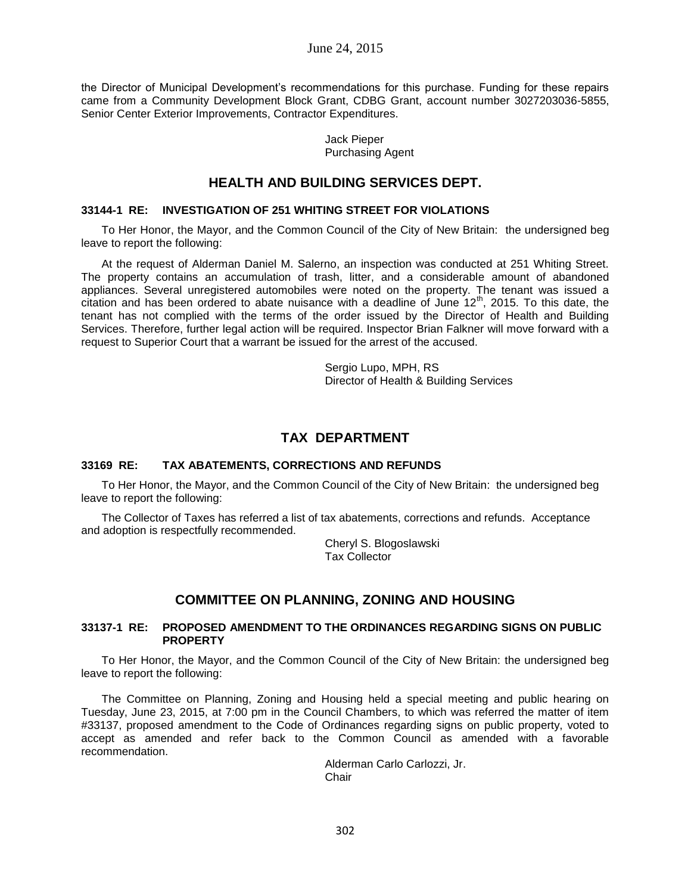the Director of Municipal Development's recommendations for this purchase. Funding for these repairs came from a Community Development Block Grant, CDBG Grant, account number 3027203036-5855, Senior Center Exterior Improvements, Contractor Expenditures.

> Jack Pieper Purchasing Agent

## **HEALTH AND BUILDING SERVICES DEPT.**

### **33144-1 RE: INVESTIGATION OF 251 WHITING STREET FOR VIOLATIONS**

To Her Honor, the Mayor, and the Common Council of the City of New Britain: the undersigned beg leave to report the following:

At the request of Alderman Daniel M. Salerno, an inspection was conducted at 251 Whiting Street. The property contains an accumulation of trash, litter, and a considerable amount of abandoned appliances. Several unregistered automobiles were noted on the property. The tenant was issued a citation and has been ordered to abate nuisance with a deadline of June  $12<sup>th</sup>$ , 2015. To this date, the tenant has not complied with the terms of the order issued by the Director of Health and Building Services. Therefore, further legal action will be required. Inspector Brian Falkner will move forward with a request to Superior Court that a warrant be issued for the arrest of the accused.

> Sergio Lupo, MPH, RS Director of Health & Building Services

# **TAX DEPARTMENT**

#### **33169 RE: TAX ABATEMENTS, CORRECTIONS AND REFUNDS**

To Her Honor, the Mayor, and the Common Council of the City of New Britain: the undersigned beg leave to report the following:

The Collector of Taxes has referred a list of tax abatements, corrections and refunds. Acceptance and adoption is respectfully recommended.

> Cheryl S. Blogoslawski Tax Collector

## **COMMITTEE ON PLANNING, ZONING AND HOUSING**

#### **33137-1 RE: PROPOSED AMENDMENT TO THE ORDINANCES REGARDING SIGNS ON PUBLIC PROPERTY**

To Her Honor, the Mayor, and the Common Council of the City of New Britain: the undersigned beg leave to report the following:

The Committee on Planning, Zoning and Housing held a special meeting and public hearing on Tuesday, June 23, 2015, at 7:00 pm in the Council Chambers, to which was referred the matter of item #33137, proposed amendment to the Code of Ordinances regarding signs on public property, voted to accept as amended and refer back to the Common Council as amended with a favorable recommendation.

> Alderman Carlo Carlozzi, Jr. **Chair**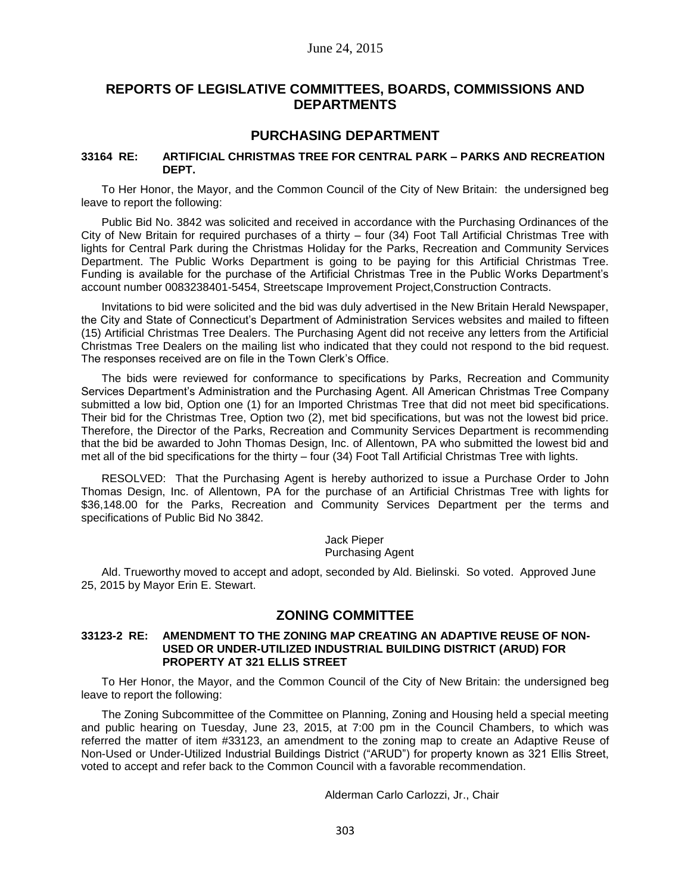# **REPORTS OF LEGISLATIVE COMMITTEES, BOARDS, COMMISSIONS AND DEPARTMENTS**

## **PURCHASING DEPARTMENT**

#### **33164 RE: ARTIFICIAL CHRISTMAS TREE FOR CENTRAL PARK – PARKS AND RECREATION DEPT.**

To Her Honor, the Mayor, and the Common Council of the City of New Britain: the undersigned beg leave to report the following:

Public Bid No. 3842 was solicited and received in accordance with the Purchasing Ordinances of the City of New Britain for required purchases of a thirty – four (34) Foot Tall Artificial Christmas Tree with lights for Central Park during the Christmas Holiday for the Parks, Recreation and Community Services Department. The Public Works Department is going to be paying for this Artificial Christmas Tree. Funding is available for the purchase of the Artificial Christmas Tree in the Public Works Department's account number 0083238401-5454, Streetscape Improvement Project,Construction Contracts.

Invitations to bid were solicited and the bid was duly advertised in the New Britain Herald Newspaper, the City and State of Connecticut's Department of Administration Services websites and mailed to fifteen (15) Artificial Christmas Tree Dealers. The Purchasing Agent did not receive any letters from the Artificial Christmas Tree Dealers on the mailing list who indicated that they could not respond to the bid request. The responses received are on file in the Town Clerk's Office.

The bids were reviewed for conformance to specifications by Parks, Recreation and Community Services Department's Administration and the Purchasing Agent. All American Christmas Tree Company submitted a low bid, Option one (1) for an Imported Christmas Tree that did not meet bid specifications. Their bid for the Christmas Tree, Option two (2), met bid specifications, but was not the lowest bid price. Therefore, the Director of the Parks, Recreation and Community Services Department is recommending that the bid be awarded to John Thomas Design, Inc. of Allentown, PA who submitted the lowest bid and met all of the bid specifications for the thirty – four (34) Foot Tall Artificial Christmas Tree with lights.

RESOLVED: That the Purchasing Agent is hereby authorized to issue a Purchase Order to John Thomas Design, Inc. of Allentown, PA for the purchase of an Artificial Christmas Tree with lights for \$36,148.00 for the Parks, Recreation and Community Services Department per the terms and specifications of Public Bid No 3842.

> Jack Pieper Purchasing Agent

Ald. Trueworthy moved to accept and adopt, seconded by Ald. Bielinski. So voted. Approved June 25, 2015 by Mayor Erin E. Stewart.

## **ZONING COMMITTEE**

#### **33123-2 RE: AMENDMENT TO THE ZONING MAP CREATING AN ADAPTIVE REUSE OF NON-USED OR UNDER-UTILIZED INDUSTRIAL BUILDING DISTRICT (ARUD) FOR PROPERTY AT 321 ELLIS STREET**

To Her Honor, the Mayor, and the Common Council of the City of New Britain: the undersigned beg leave to report the following:

The Zoning Subcommittee of the Committee on Planning, Zoning and Housing held a special meeting and public hearing on Tuesday, June 23, 2015, at 7:00 pm in the Council Chambers, to which was referred the matter of item #33123, an amendment to the zoning map to create an Adaptive Reuse of Non-Used or Under-Utilized Industrial Buildings District ("ARUD") for property known as 321 Ellis Street, voted to accept and refer back to the Common Council with a favorable recommendation.

Alderman Carlo Carlozzi, Jr., Chair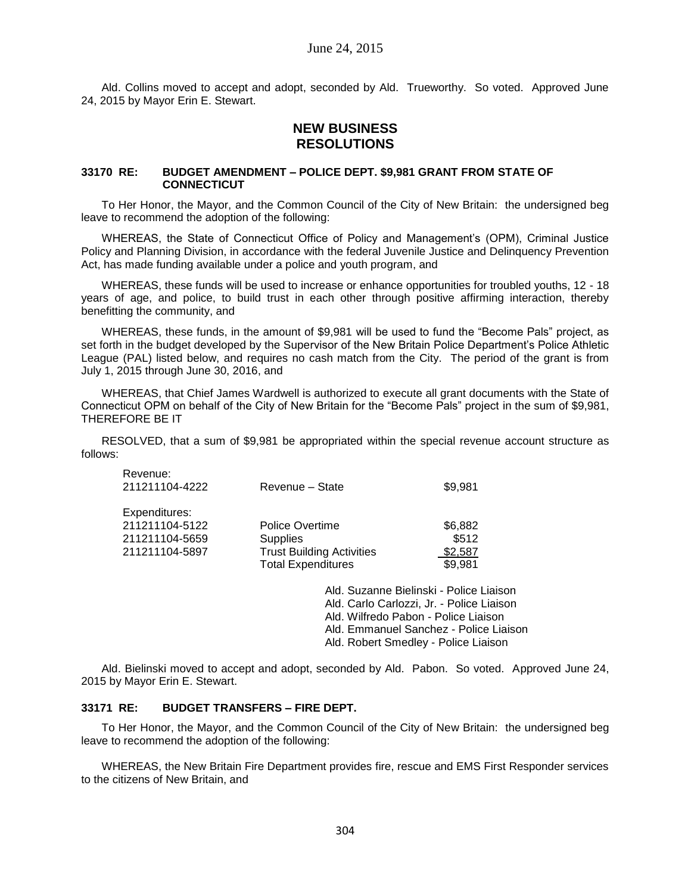Ald. Collins moved to accept and adopt, seconded by Ald. Trueworthy. So voted. Approved June 24, 2015 by Mayor Erin E. Stewart.

# **NEW BUSINESS RESOLUTIONS**

#### **33170 RE: BUDGET AMENDMENT – POLICE DEPT. \$9,981 GRANT FROM STATE OF CONNECTICUT**

To Her Honor, the Mayor, and the Common Council of the City of New Britain: the undersigned beg leave to recommend the adoption of the following:

WHEREAS, the State of Connecticut Office of Policy and Management's (OPM), Criminal Justice Policy and Planning Division, in accordance with the federal Juvenile Justice and Delinquency Prevention Act, has made funding available under a police and youth program, and

WHEREAS, these funds will be used to increase or enhance opportunities for troubled youths, 12 - 18 years of age, and police, to build trust in each other through positive affirming interaction, thereby benefitting the community, and

WHEREAS, these funds, in the amount of \$9,981 will be used to fund the "Become Pals" project, as set forth in the budget developed by the Supervisor of the New Britain Police Department's Police Athletic League (PAL) listed below, and requires no cash match from the City. The period of the grant is from July 1, 2015 through June 30, 2016, and

WHEREAS, that Chief James Wardwell is authorized to execute all grant documents with the State of Connecticut OPM on behalf of the City of New Britain for the "Become Pals" project in the sum of \$9,981, THEREFORE BE IT

RESOLVED, that a sum of \$9,981 be appropriated within the special revenue account structure as follows:

| Revenue:<br>211211104-4222 | Revenue - State                  | \$9,981 |
|----------------------------|----------------------------------|---------|
| Expenditures:              |                                  |         |
| 211211104-5122             | Police Overtime                  | \$6,882 |
| 211211104-5659             | <b>Supplies</b>                  | \$512   |
| 211211104-5897             | <b>Trust Building Activities</b> | \$2,587 |
|                            | <b>Total Expenditures</b>        | \$9,981 |
|                            |                                  |         |

Ald. Suzanne Bielinski - Police Liaison Ald. Carlo Carlozzi, Jr. - Police Liaison Ald. Wilfredo Pabon - Police Liaison Ald. Emmanuel Sanchez - Police Liaison Ald. Robert Smedley - Police Liaison

Ald. Bielinski moved to accept and adopt, seconded by Ald. Pabon. So voted. Approved June 24, 2015 by Mayor Erin E. Stewart.

#### **33171 RE: BUDGET TRANSFERS – FIRE DEPT.**

To Her Honor, the Mayor, and the Common Council of the City of New Britain: the undersigned beg leave to recommend the adoption of the following:

WHEREAS, the New Britain Fire Department provides fire, rescue and EMS First Responder services to the citizens of New Britain, and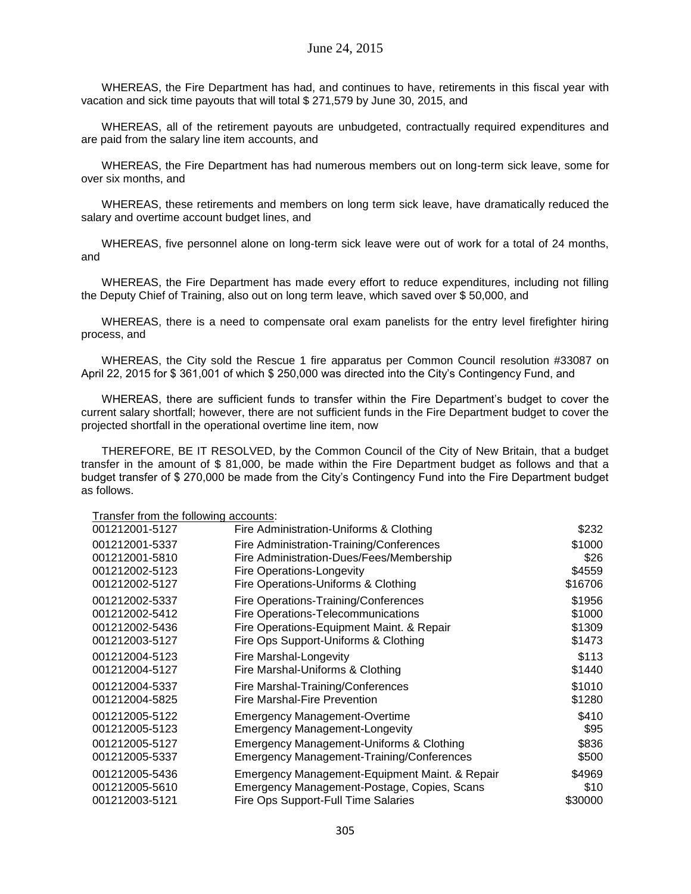WHEREAS, the Fire Department has had, and continues to have, retirements in this fiscal year with vacation and sick time payouts that will total \$ 271,579 by June 30, 2015, and

WHEREAS, all of the retirement payouts are unbudgeted, contractually required expenditures and are paid from the salary line item accounts, and

WHEREAS, the Fire Department has had numerous members out on long-term sick leave, some for over six months, and

WHEREAS, these retirements and members on long term sick leave, have dramatically reduced the salary and overtime account budget lines, and

WHEREAS, five personnel alone on long-term sick leave were out of work for a total of 24 months, and

WHEREAS, the Fire Department has made every effort to reduce expenditures, including not filling the Deputy Chief of Training, also out on long term leave, which saved over \$ 50,000, and

WHEREAS, there is a need to compensate oral exam panelists for the entry level firefighter hiring process, and

WHEREAS, the City sold the Rescue 1 fire apparatus per Common Council resolution #33087 on April 22, 2015 for \$ 361,001 of which \$ 250,000 was directed into the City's Contingency Fund, and

WHEREAS, there are sufficient funds to transfer within the Fire Department's budget to cover the current salary shortfall; however, there are not sufficient funds in the Fire Department budget to cover the projected shortfall in the operational overtime line item, now

THEREFORE, BE IT RESOLVED, by the Common Council of the City of New Britain, that a budget transfer in the amount of \$ 81,000, be made within the Fire Department budget as follows and that a budget transfer of \$ 270,000 be made from the City's Contingency Fund into the Fire Department budget as follows.

Transfer from the following accounts:

| 001212001-5127 | Fire Administration-Uniforms & Clothing          | \$232   |
|----------------|--------------------------------------------------|---------|
| 001212001-5337 | Fire Administration-Training/Conferences         | \$1000  |
| 001212001-5810 | Fire Administration-Dues/Fees/Membership         | \$26    |
| 001212002-5123 | <b>Fire Operations-Longevity</b>                 | \$4559  |
| 001212002-5127 | Fire Operations-Uniforms & Clothing              | \$16706 |
| 001212002-5337 | Fire Operations-Training/Conferences             | \$1956  |
| 001212002-5412 | Fire Operations-Telecommunications               | \$1000  |
| 001212002-5436 | Fire Operations-Equipment Maint. & Repair        | \$1309  |
| 001212003-5127 | Fire Ops Support-Uniforms & Clothing             | \$1473  |
| 001212004-5123 | Fire Marshal-Longevity                           | \$113   |
| 001212004-5127 | Fire Marshal-Uniforms & Clothing                 | \$1440  |
| 001212004-5337 | Fire Marshal-Training/Conferences                | \$1010  |
| 001212004-5825 | <b>Fire Marshal-Fire Prevention</b>              | \$1280  |
| 001212005-5122 | <b>Emergency Management-Overtime</b>             | \$410   |
| 001212005-5123 | <b>Emergency Management-Longevity</b>            | \$95    |
| 001212005-5127 | Emergency Management-Uniforms & Clothing         | \$836   |
| 001212005-5337 | <b>Emergency Management-Training/Conferences</b> | \$500   |
| 001212005-5436 | Emergency Management-Equipment Maint. & Repair   | \$4969  |
| 001212005-5610 | Emergency Management-Postage, Copies, Scans      | \$10    |
| 001212003-5121 | <b>Fire Ops Support-Full Time Salaries</b>       | \$30000 |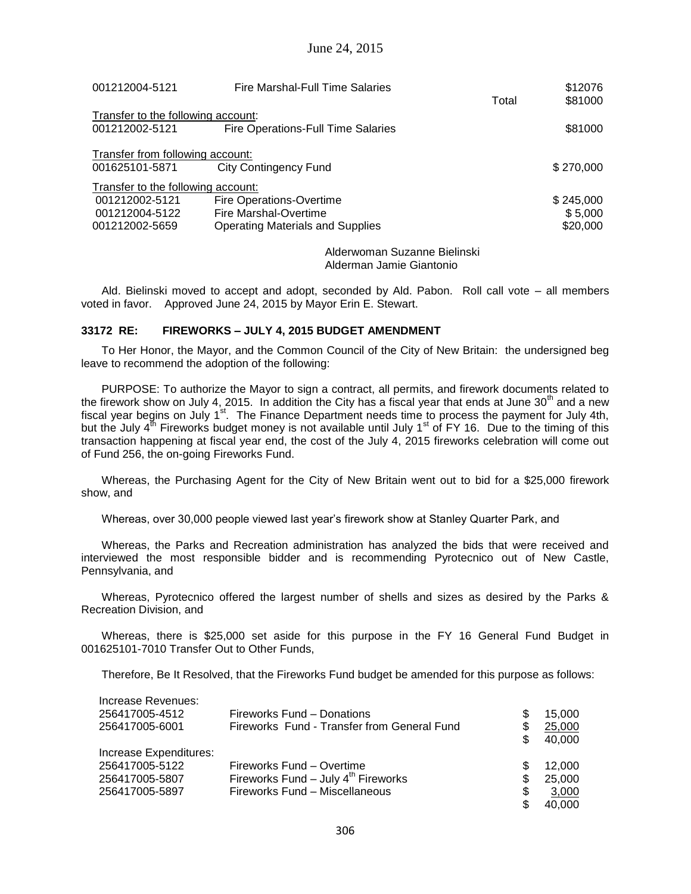| 001212004-5121                     | <b>Fire Marshal-Full Time Salaries</b>    |       | \$12076   |
|------------------------------------|-------------------------------------------|-------|-----------|
|                                    |                                           | Total | \$81000   |
| Transfer to the following account: |                                           |       |           |
| 001212002-5121                     | <b>Fire Operations-Full Time Salaries</b> |       | \$81000   |
| Transfer from following account:   |                                           |       |           |
|                                    |                                           |       |           |
| 001625101-5871                     | City Contingency Fund                     |       | \$270,000 |
| Transfer to the following account: |                                           |       |           |
| 001212002-5121                     | Fire Operations-Overtime                  |       | \$245,000 |
| 001212004-5122                     | Fire Marshal-Overtime                     |       | \$5,000   |
| 001212002-5659                     | <b>Operating Materials and Supplies</b>   |       | \$20,000  |
|                                    |                                           |       |           |

Alderwoman Suzanne Bielinski Alderman Jamie Giantonio

Ald. Bielinski moved to accept and adopt, seconded by Ald. Pabon. Roll call vote – all members voted in favor. Approved June 24, 2015 by Mayor Erin E. Stewart.

#### **33172 RE: FIREWORKS – JULY 4, 2015 BUDGET AMENDMENT**

To Her Honor, the Mayor, and the Common Council of the City of New Britain: the undersigned beg leave to recommend the adoption of the following:

PURPOSE: To authorize the Mayor to sign a contract, all permits, and firework documents related to the firework show on July 4, 2015. In addition the City has a fiscal year that ends at June  $30<sup>th</sup>$  and a new fiscal year begins on July  $1^{st}$ . The Finance Department needs time to process the payment for July 4th, but the July  $4^{th}$  Fireworks budget money is not available until July 1<sup>st</sup> of FY 16. Due to the timing of this transaction happening at fiscal year end, the cost of the July 4, 2015 fireworks celebration will come out of Fund 256, the on-going Fireworks Fund.

Whereas, the Purchasing Agent for the City of New Britain went out to bid for a \$25,000 firework show, and

Whereas, over 30,000 people viewed last year's firework show at Stanley Quarter Park, and

Whereas, the Parks and Recreation administration has analyzed the bids that were received and interviewed the most responsible bidder and is recommending Pyrotecnico out of New Castle, Pennsylvania, and

Whereas, Pyrotecnico offered the largest number of shells and sizes as desired by the Parks & Recreation Division, and

Whereas, there is \$25,000 set aside for this purpose in the FY 16 General Fund Budget in 001625101-7010 Transfer Out to Other Funds,

Therefore, Be It Resolved, that the Fireworks Fund budget be amended for this purpose as follows:

| Increase Revenues:<br>256417005-4512<br>256417005-6001 | Fireworks Fund - Donations<br>Fireworks Fund - Transfer from General Fund | \$<br>\$<br>\$. | 15.000<br>25,000<br>40.000 |
|--------------------------------------------------------|---------------------------------------------------------------------------|-----------------|----------------------------|
| Increase Expenditures:                                 |                                                                           |                 |                            |
| 256417005-5122                                         | Fireworks Fund - Overtime                                                 | S               | 12,000                     |
| 256417005-5807                                         | Fireworks Fund - July $4^{\text{th}}$ Fireworks                           | \$              | 25,000                     |
| 256417005-5897                                         | Fireworks Fund - Miscellaneous                                            | \$              | 3,000                      |
|                                                        |                                                                           | S               | 40.000                     |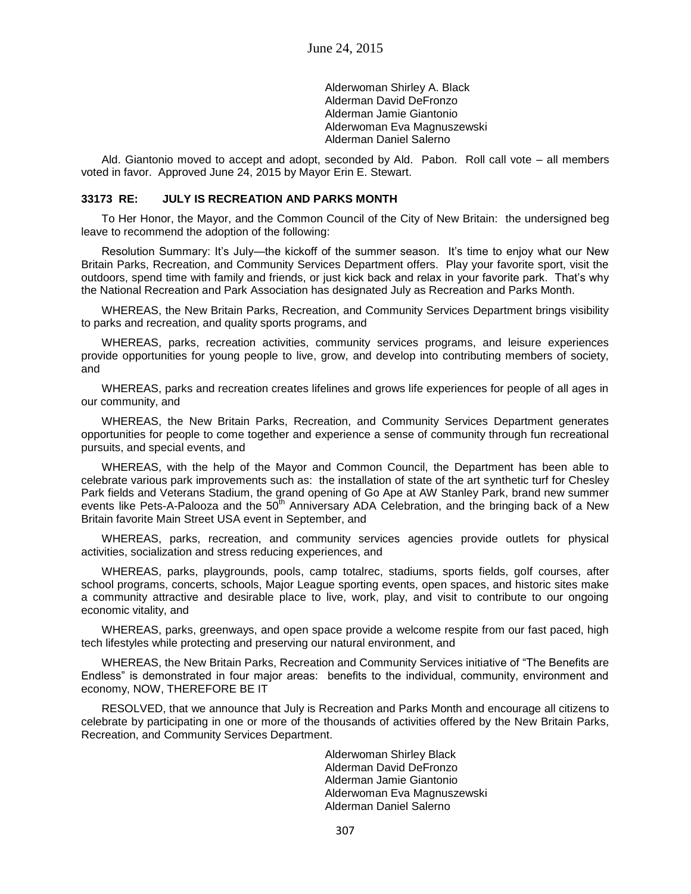Alderwoman Shirley A. Black Alderman David DeFronzo Alderman Jamie Giantonio Alderwoman Eva Magnuszewski Alderman Daniel Salerno

Ald. Giantonio moved to accept and adopt, seconded by Ald. Pabon. Roll call vote – all members voted in favor. Approved June 24, 2015 by Mayor Erin E. Stewart.

### **33173 RE: JULY IS RECREATION AND PARKS MONTH**

To Her Honor, the Mayor, and the Common Council of the City of New Britain: the undersigned beg leave to recommend the adoption of the following:

Resolution Summary: It's July—the kickoff of the summer season. It's time to enjoy what our New Britain Parks, Recreation, and Community Services Department offers. Play your favorite sport, visit the outdoors, spend time with family and friends, or just kick back and relax in your favorite park. That's why the National Recreation and Park Association has designated July as Recreation and Parks Month.

WHEREAS, the New Britain Parks, Recreation, and Community Services Department brings visibility to parks and recreation, and quality sports programs, and

WHEREAS, parks, recreation activities, community services programs, and leisure experiences provide opportunities for young people to live, grow, and develop into contributing members of society, and

WHEREAS, parks and recreation creates lifelines and grows life experiences for people of all ages in our community, and

WHEREAS, the New Britain Parks, Recreation, and Community Services Department generates opportunities for people to come together and experience a sense of community through fun recreational pursuits, and special events, and

WHEREAS, with the help of the Mayor and Common Council, the Department has been able to celebrate various park improvements such as: the installation of state of the art synthetic turf for Chesley Park fields and Veterans Stadium, the grand opening of Go Ape at AW Stanley Park, brand new summer events like Pets-A-Palooza and the  $50<sup>th</sup>$  Anniversary ADA Celebration, and the bringing back of a New Britain favorite Main Street USA event in September, and

WHEREAS, parks, recreation, and community services agencies provide outlets for physical activities, socialization and stress reducing experiences, and

WHEREAS, parks, playgrounds, pools, camp totalrec, stadiums, sports fields, golf courses, after school programs, concerts, schools, Major League sporting events, open spaces, and historic sites make a community attractive and desirable place to live, work, play, and visit to contribute to our ongoing economic vitality, and

WHEREAS, parks, greenways, and open space provide a welcome respite from our fast paced, high tech lifestyles while protecting and preserving our natural environment, and

WHEREAS, the New Britain Parks, Recreation and Community Services initiative of "The Benefits are Endless" is demonstrated in four major areas: benefits to the individual, community, environment and economy, NOW, THEREFORE BE IT

RESOLVED, that we announce that July is Recreation and Parks Month and encourage all citizens to celebrate by participating in one or more of the thousands of activities offered by the New Britain Parks, Recreation, and Community Services Department.

> Alderwoman Shirley Black Alderman David DeFronzo Alderman Jamie Giantonio Alderwoman Eva Magnuszewski Alderman Daniel Salerno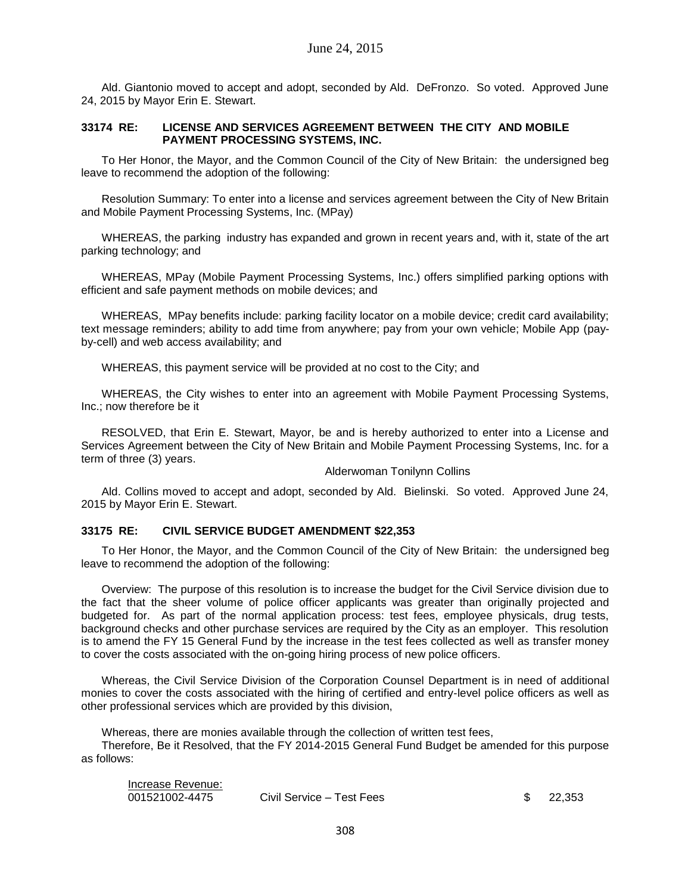Ald. Giantonio moved to accept and adopt, seconded by Ald. DeFronzo. So voted. Approved June 24, 2015 by Mayor Erin E. Stewart.

### **33174 RE: LICENSE AND SERVICES AGREEMENT BETWEEN THE CITY AND MOBILE PAYMENT PROCESSING SYSTEMS, INC.**

To Her Honor, the Mayor, and the Common Council of the City of New Britain: the undersigned beg leave to recommend the adoption of the following:

Resolution Summary: To enter into a license and services agreement between the City of New Britain and Mobile Payment Processing Systems, Inc. (MPay)

WHEREAS, the parking industry has expanded and grown in recent years and, with it, state of the art parking technology; and

WHEREAS, MPay (Mobile Payment Processing Systems, Inc.) offers simplified parking options with efficient and safe payment methods on mobile devices; and

WHEREAS, MPay benefits include: parking facility locator on a mobile device; credit card availability; text message reminders; ability to add time from anywhere; pay from your own vehicle; Mobile App (payby-cell) and web access availability; and

WHEREAS, this payment service will be provided at no cost to the City; and

WHEREAS, the City wishes to enter into an agreement with Mobile Payment Processing Systems, Inc.; now therefore be it

RESOLVED, that Erin E. Stewart, Mayor, be and is hereby authorized to enter into a License and Services Agreement between the City of New Britain and Mobile Payment Processing Systems, Inc. for a term of three (3) years.

#### Alderwoman Tonilynn Collins

Ald. Collins moved to accept and adopt, seconded by Ald. Bielinski. So voted. Approved June 24, 2015 by Mayor Erin E. Stewart.

#### **33175 RE: CIVIL SERVICE BUDGET AMENDMENT \$22,353**

To Her Honor, the Mayor, and the Common Council of the City of New Britain: the undersigned beg leave to recommend the adoption of the following:

Overview: The purpose of this resolution is to increase the budget for the Civil Service division due to the fact that the sheer volume of police officer applicants was greater than originally projected and budgeted for. As part of the normal application process: test fees, employee physicals, drug tests, background checks and other purchase services are required by the City as an employer. This resolution is to amend the FY 15 General Fund by the increase in the test fees collected as well as transfer money to cover the costs associated with the on-going hiring process of new police officers.

Whereas, the Civil Service Division of the Corporation Counsel Department is in need of additional monies to cover the costs associated with the hiring of certified and entry-level police officers as well as other professional services which are provided by this division,

Whereas, there are monies available through the collection of written test fees, Therefore, Be it Resolved, that the FY 2014-2015 General Fund Budget be amended for this purpose as follows:

| Increase Revenue: |                           |          |
|-------------------|---------------------------|----------|
| 001521002-4475    | Civil Service - Test Fees | \$22,353 |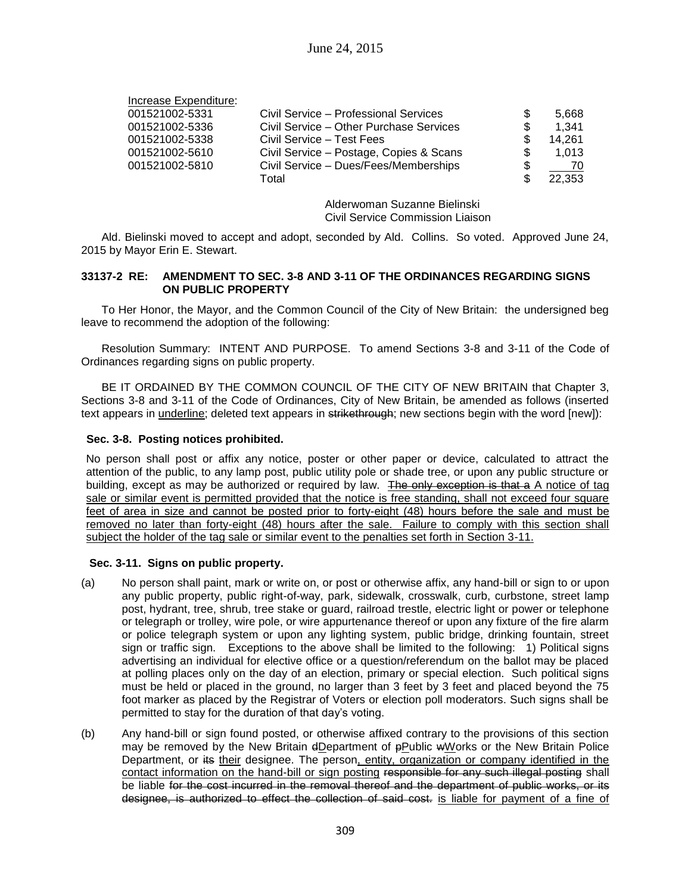| Increase Expenditure: |                                         |     |        |
|-----------------------|-----------------------------------------|-----|--------|
| 001521002-5331        | Civil Service – Professional Services   |     | 5.668  |
| 001521002-5336        | Civil Service - Other Purchase Services | S   | 1.341  |
| 001521002-5338        | Civil Service - Test Fees               |     | 14.261 |
| 001521002-5610        | Civil Service - Postage, Copies & Scans | \$. | 1.013  |
| 001521002-5810        | Civil Service - Dues/Fees/Memberships   | S   | 70     |
|                       | Total                                   |     | 22.353 |

Alderwoman Suzanne Bielinski Civil Service Commission Liaison

Ald. Bielinski moved to accept and adopt, seconded by Ald. Collins. So voted. Approved June 24, 2015 by Mayor Erin E. Stewart.

#### **33137-2 RE: AMENDMENT TO SEC. 3-8 AND 3-11 OF THE ORDINANCES REGARDING SIGNS ON PUBLIC PROPERTY**

To Her Honor, the Mayor, and the Common Council of the City of New Britain: the undersigned beg leave to recommend the adoption of the following:

Resolution Summary: INTENT AND PURPOSE. To amend Sections 3-8 and 3-11 of the Code of Ordinances regarding signs on public property.

BE IT ORDAINED BY THE COMMON COUNCIL OF THE CITY OF NEW BRITAIN that Chapter 3, Sections 3-8 and 3-11 of the Code of Ordinances, City of New Britain, be amended as follows (inserted text appears in underline; deleted text appears in strikethrough; new sections begin with the word [new]):

#### **Sec. 3-8. Posting notices prohibited.**

No person shall post or affix any notice, poster or other paper or device, calculated to attract the attention of the public, to any lamp post, public utility pole or shade tree, or upon any public structure or building, except as may be authorized or required by law. The only exception is that a A notice of tag sale or similar event is permitted provided that the notice is free standing, shall not exceed four square feet of area in size and cannot be posted prior to forty-eight (48) hours before the sale and must be removed no later than forty-eight (48) hours after the sale. Failure to comply with this section shall subject the holder of the tag sale or similar event to the penalties set forth in Section 3-11.

#### **Sec. 3-11. Signs on public property.**

- (a) No person shall paint, mark or write on, or post or otherwise affix, any hand-bill or sign to or upon any public property, public right-of-way, park, sidewalk, crosswalk, curb, curbstone, street lamp post, hydrant, tree, shrub, tree stake or guard, railroad trestle, electric light or power or telephone or telegraph or trolley, wire pole, or wire appurtenance thereof or upon any fixture of the fire alarm or police telegraph system or upon any lighting system, public bridge, drinking fountain, street sign or traffic sign. Exceptions to the above shall be limited to the following: 1) Political signs advertising an individual for elective office or a question/referendum on the ballot may be placed at polling places only on the day of an election, primary or special election. Such political signs must be held or placed in the ground, no larger than 3 feet by 3 feet and placed beyond the 75 foot marker as placed by the Registrar of Voters or election poll moderators. Such signs shall be permitted to stay for the duration of that day's voting.
- (b) Any hand-bill or sign found posted, or otherwise affixed contrary to the provisions of this section may be removed by the New Britain dDepartment of pPublic wWorks or the New Britain Police Department, or its their designee. The person, entity, organization or company identified in the contact information on the hand-bill or sign posting responsible for any such illegal posting shall be liable for the cost incurred in the removal thereof and the department of public works, or its designee, is authorized to effect the collection of said cost. is liable for payment of a fine of